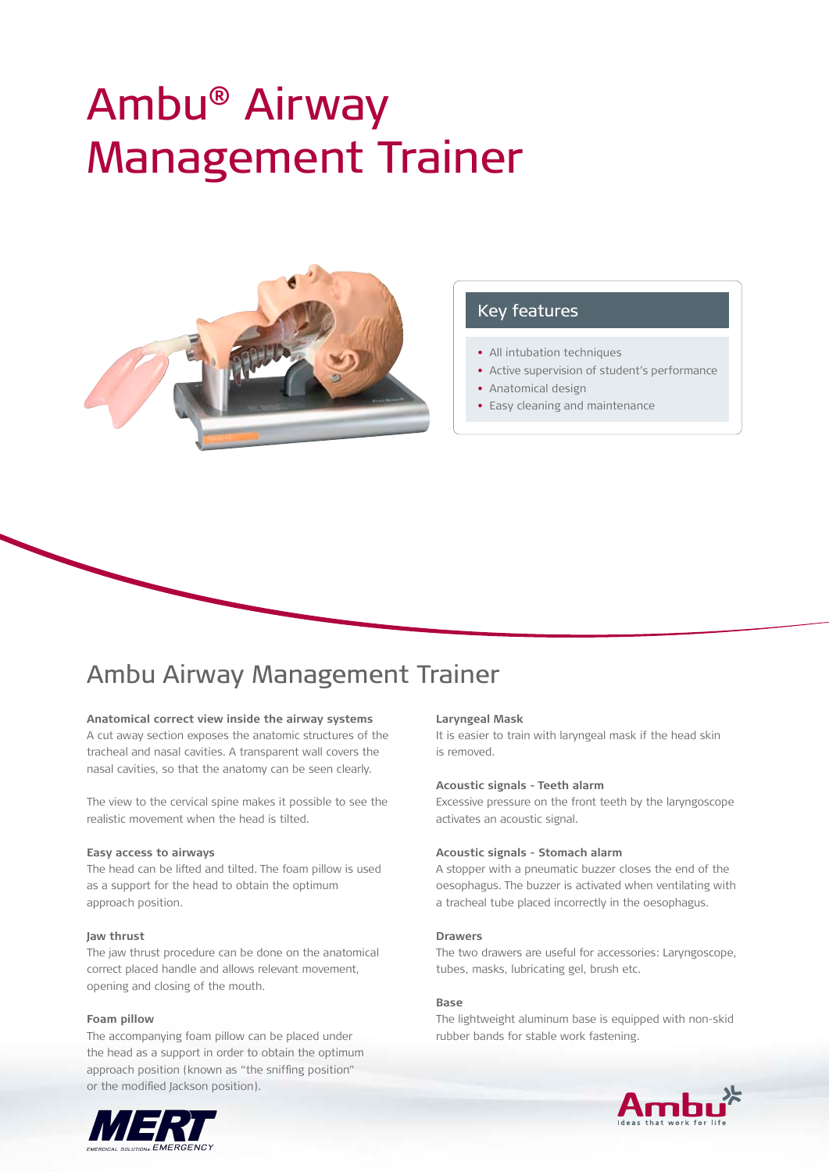# Ambu® Airway Management Trainer



### Key features

- All intubation techniques
- Active supervision of student's performance
- Anatomical design
- Easy cleaning and maintenance

## Ambu Airway Management Trainer

#### **Anatomical correct view inside the airway systems**

A cut away section exposes the anatomic structures of the tracheal and nasal cavities. A transparent wall covers the nasal cavities, so that the anatomy can be seen clearly.

The view to the cervical spine makes it possible to see the realistic movement when the head is tilted.

#### **Easy access to airways**

The head can be lifted and tilted. The foam pillow is used as a support for the head to obtain the optimum approach position.

#### **Jaw thrust**

The jaw thrust procedure can be done on the anatomical correct placed handle and allows relevant movement, opening and closing of the mouth.

#### **Foam pillow**

The accompanying foam pillow can be placed under the head as a support in order to obtain the optimum approach position (known as "the sniffing position" or the modified Jackson position).



#### **Laryngeal Mask**

It is easier to train with laryngeal mask if the head skin is removed.

#### **Acoustic signals - Teeth alarm**

Excessive pressure on the front teeth by the laryngoscope activates an acoustic signal.

#### **Acoustic signals - Stomach alarm**

A stopper with a pneumatic buzzer closes the end of the oesophagus. The buzzer is activated when ventilating with a tracheal tube placed incorrectly in the oesophagus.

#### **Drawers**

The two drawers are useful for accessories: Laryngoscope, tubes, masks, lubricating gel, brush etc.

#### **Base**

The lightweight aluminum base is equipped with non-skid rubber bands for stable work fastening.